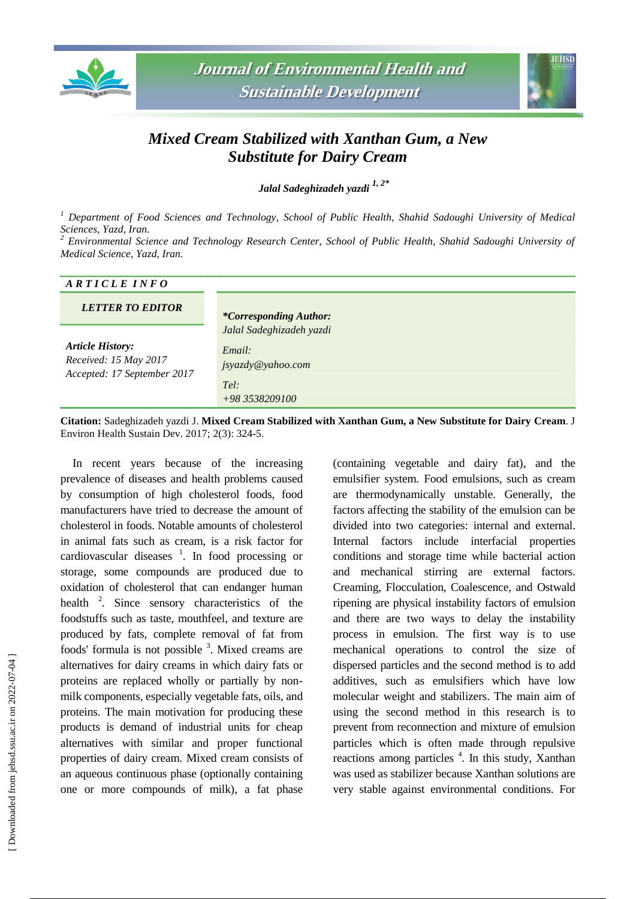



## *Mixed Cream Stabilized with Xanthan Gum, a New Substitute for Dairy Cream*

*Jalal Sadeghizadeh yazdi 1, 2\**

*<sup>1</sup> Department of Food Sciences and Technology, School of Public Health, Shahid Sadoughi University of Medical Sciences, Yazd, Iran.*

*<sup>2</sup> Environmental Science and Technology Research Center, School of Public Health, Shahid Sadoughi University of Medical Science, Yazd, Iran.*

| ARTICLE INFO                                                                    |                                                                                   |
|---------------------------------------------------------------------------------|-----------------------------------------------------------------------------------|
| <b>LETTER TO EDITOR</b>                                                         | <i>*Corresponding Author:</i>                                                     |
| <b>Article History:</b><br>Received: 15 May 2017<br>Accepted: 17 September 2017 | Jalal Sadeghizadeh yazdi<br>Email:<br>jsyazdy@yahoo.com<br>Tel:<br>+98 3538209100 |

**Citation:** Sadeghizadeh yazdi J. **Mixed Cream Stabilized with Xanthan Gum, a New Substitute for Dairy Cream**. J Environ Health Sustain Dev. 2017; 2(3): 324-5.

In recent years because of the increasing prevalence of diseases and health problems caused by consumption of high cholesterol foods, food manufacturers have tried to decrease the amount of cholesterol in foods. Notable amounts of cholesterol in animal fats such as cream, is a risk factor for cardiovascular diseases 1 . In food processing or storage, some compounds are produced due to oxidation of cholesterol that can endanger human health <sup>2</sup>. Since sensory characteristics of the foodstuffs such as taste, mouthfeel, and texture are produced by fats, complete removal of fat from foods' formula is not possible  $3$ . Mixed creams are alternatives for dairy creams in which dairy fats or proteins are replaced wholly or partially by nonmilk components, especially vegetable fats, oils, and proteins. The main motivation for producing these products is demand of industrial units for cheap alternatives with similar and proper functional properties of dairy cream. Mixed cream consists of an aqueous continuous phase (optionally containing one or more compounds of milk), a fat phase

(containing vegetable and dairy fat), and the emulsifier system. Food emulsions, such as cream are thermodynamically unstable. Generally, the factors affecting the stability of the emulsion can be divided into two categories: internal and external. Internal factors include interfacial properties conditions and storage time while bacterial action and mechanical stirring are external factors. Creaming, Flocculation, Coalescence, and Ostwald ripening are physical instability factors of emulsion and there are two ways to delay the instability process in emulsion. The first way is to use mechanical operations to control the size of dispersed particles and the second method is to add additives, such as emulsifiers which have low molecular weight and stabilizers. The main aim of using the second method in this research is to prevent from reconnection and mixture of emulsion particles which is often made through repulsive reactions among particles<sup>4</sup>. In this study, Xanthan was used as stabilizer because Xanthan solutions are very stable against environmental conditions. For